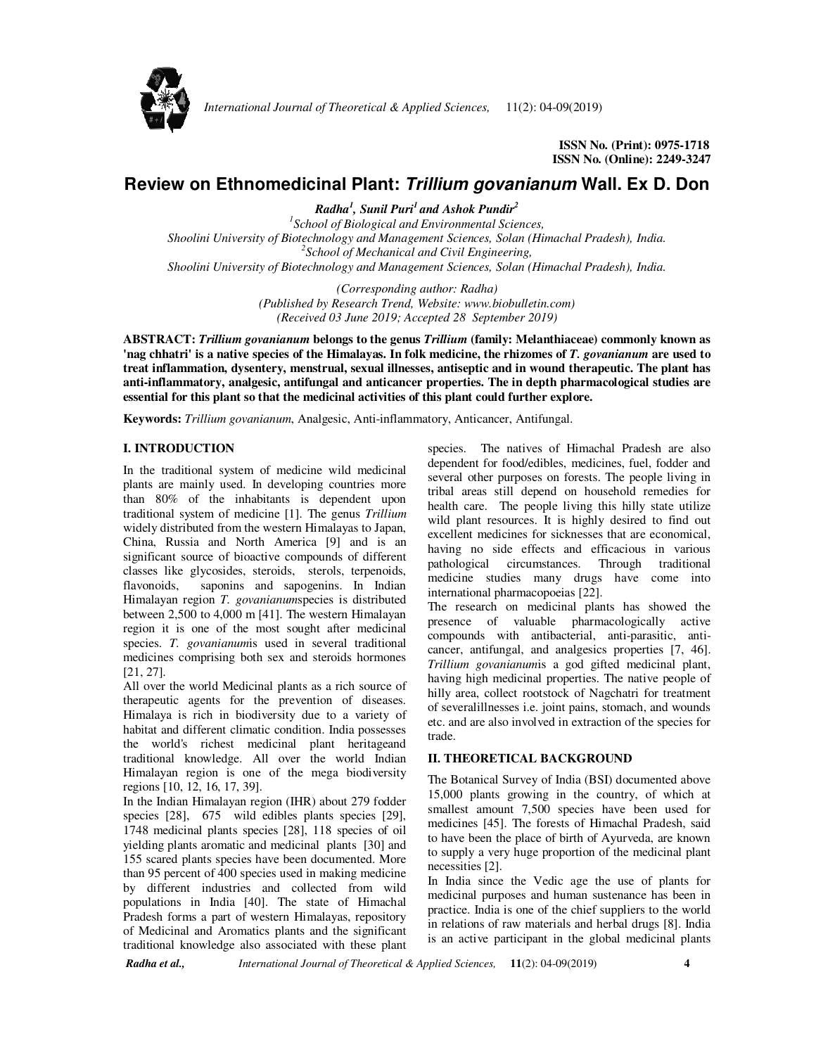

 **ISSN No. (Print): 0975-1718 ISSN No. (Online): 2249-3247** 

# **Review on Ethnomedicinal Plant: Trillium govanianum Wall. Ex D. Don**

*Radha<sup>1</sup> , Sunil Puri<sup>1</sup>and Ashok Pundir<sup>2</sup> 1 School of Biological and Environmental Sciences, Shoolini University of Biotechnology and Management Sciences, Solan (Himachal Pradesh), India. 2 School of Mechanical and Civil Engineering, Shoolini University of Biotechnology and Management Sciences, Solan (Himachal Pradesh), India.*

> *(Corresponding author: Radha) (Published by Research Trend, Website: www.biobulletin.com) (Received 03 June 2019; Accepted 28 September 2019)*

**ABSTRACT:** *Trillium govanianum* **belongs to the genus** *Trillium* **(family: Melanthiaceae) commonly known as 'nag chhatri' is a native species of the Himalayas. In folk medicine, the rhizomes of** *T. govanianum* **are used to treat inflammation, dysentery, menstrual, sexual illnesses, antiseptic and in wound therapeutic. The plant has anti-inflammatory, analgesic, antifungal and anticancer properties. The in depth pharmacological studies are essential for this plant so that the medicinal activities of this plant could further explore.** 

**Keywords:** *Trillium govanianum*, Analgesic, Anti-inflammatory, Anticancer, Antifungal.

# **I. INTRODUCTION**

In the traditional system of medicine wild medicinal plants are mainly used. In developing countries more than 80% of the inhabitants is dependent upon traditional system of medicine [1]. The genus *Trillium*  widely distributed from the western Himalayas to Japan, China, Russia and North America [9] and is an significant source of bioactive compounds of different classes like glycosides, steroids, sterols, terpenoids, flavonoids, saponins and sapogenins. In Indian Himalayan region *T. govanianum*species is distributed between 2,500 to 4,000 m [41]. The western Himalayan region it is one of the most sought after medicinal species. *T. govanianum*is used in several traditional medicines comprising both sex and steroids hormones [21, 27].

All over the world Medicinal plants as a rich source of therapeutic agents for the prevention of diseases. Himalaya is rich in biodiversity due to a variety of habitat and different climatic condition. India possesses the world's richest medicinal plant heritageand traditional knowledge. All over the world Indian Himalayan region is one of the mega biodiversity regions [10, 12, 16, 17, 39].

In the Indian Himalayan region (IHR) about 279 fodder species [28], 675 wild edibles plants species [29], 1748 medicinal plants species [28], 118 species of oil yielding plants aromatic and medicinal plants [30] and 155 scared plants species have been documented. More than 95 percent of 400 species used in making medicine by different industries and collected from wild populations in India [40]. The state of Himachal Pradesh forms a part of western Himalayas, repository of Medicinal and Aromatics plants and the significant traditional knowledge also associated with these plant

species. The natives of Himachal Pradesh are also dependent for food/edibles, medicines, fuel, fodder and several other purposes on forests. The people living in tribal areas still depend on household remedies for health care. The people living this hilly state utilize wild plant resources. It is highly desired to find out excellent medicines for sicknesses that are economical, having no side effects and efficacious in various pathological circumstances. Through traditional medicine studies many drugs have come into international pharmacopoeias [22].

The research on medicinal plants has showed the presence of valuable pharmacologically active compounds with antibacterial, anti-parasitic, anticancer, antifungal, and analgesics properties [7, 46]. *Trillium govanianum*is a god gifted medicinal plant, having high medicinal properties. The native people of hilly area, collect rootstock of Nagchatri for treatment of severalillnesses i.e. joint pains, stomach, and wounds etc. and are also involved in extraction of the species for trade.

### **II. THEORETICAL BACKGROUND**

The Botanical Survey of India (BSI) documented above 15,000 plants growing in the country, of which at smallest amount 7,500 species have been used for medicines [45]. The forests of Himachal Pradesh, said to have been the place of birth of Ayurveda, are known to supply a very huge proportion of the medicinal plant necessities [2].

In India since the Vedic age the use of plants for medicinal purposes and human sustenance has been in practice. India is one of the chief suppliers to the world in relations of raw materials and herbal drugs [8]. India is an active participant in the global medicinal plants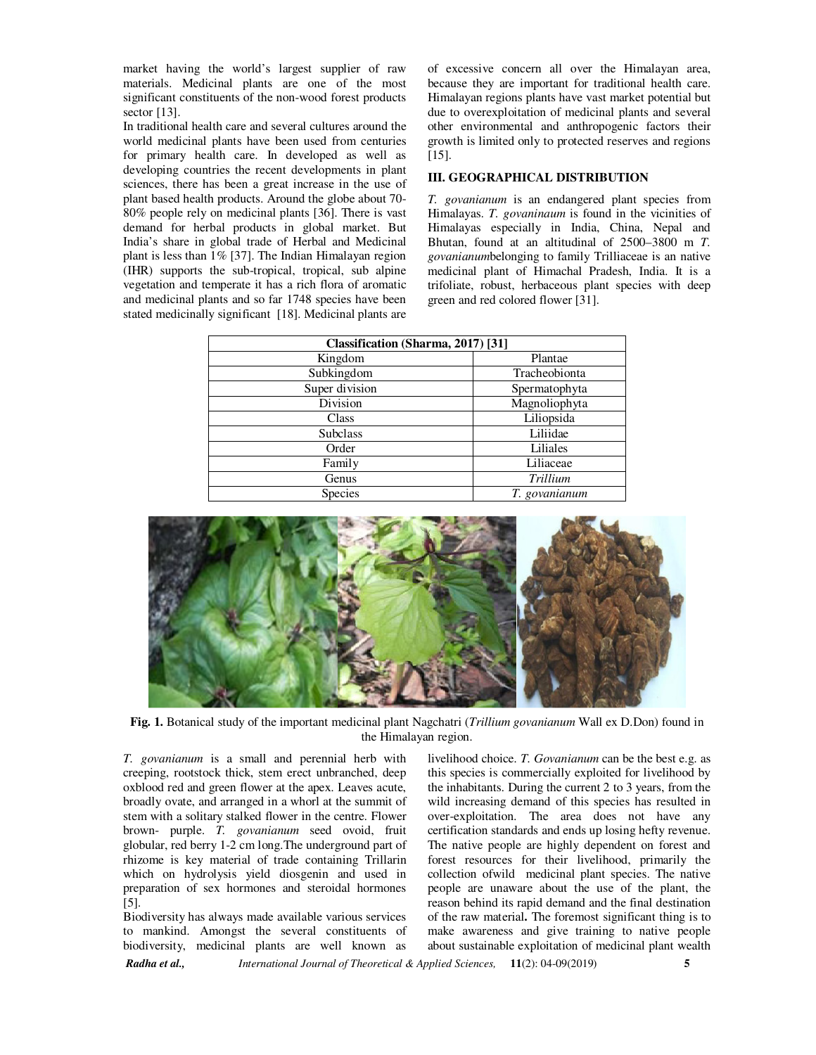market having the world's largest supplier of raw materials. Medicinal plants are one of the most significant constituents of the non-wood forest products sector [13].

In traditional health care and several cultures around the world medicinal plants have been used from centuries for primary health care. In developed as well as developing countries the recent developments in plant sciences, there has been a great increase in the use of plant based health products. Around the globe about 70- 80% people rely on medicinal plants [36]. There is vast demand for herbal products in global market. But India's share in global trade of Herbal and Medicinal plant is less than 1% [37]. The Indian Himalayan region (IHR) supports the sub-tropical, tropical, sub alpine vegetation and temperate it has a rich flora of aromatic and medicinal plants and so far 1748 species have been stated medicinally significant [18]. Medicinal plants are of excessive concern all over the Himalayan area, because they are important for traditional health care. Himalayan regions plants have vast market potential but due to overexploitation of medicinal plants and several other environmental and anthropogenic factors their growth is limited only to protected reserves and regions [15].

#### **III. GEOGRAPHICAL DISTRIBUTION**

*T. govanianum* is an endangered plant species from Himalayas. *T. govaninaum* is found in the vicinities of Himalayas especially in India, China, Nepal and Bhutan, found at an altitudinal of 2500–3800 m *T. govanianum*belonging to family Trilliaceae is an native medicinal plant of Himachal Pradesh, India. It is a trifoliate, robust, herbaceous plant species with deep green and red colored flower [31].

| Classification (Sharma, 2017) [31] |               |
|------------------------------------|---------------|
| Kingdom                            | Plantae       |
| Subkingdom                         | Tracheobionta |
| Super division                     | Spermatophyta |
| Division                           | Magnoliophyta |
| Class                              | Liliopsida    |
| <b>Subclass</b>                    | Liliidae      |
| Order                              | Liliales      |
| Family                             | Liliaceae     |
| Genus                              | Trillium      |
| <b>Species</b>                     | T. govanianum |



**Fig. 1.** Botanical study of the important medicinal plant Nagchatri (*Trillium govanianum* Wall ex D.Don) found in the Himalayan region.

*T. govanianum* is a small and perennial herb with creeping, rootstock thick, stem erect unbranched, deep oxblood red and green flower at the apex. Leaves acute, broadly ovate, and arranged in a whorl at the summit of stem with a solitary stalked flower in the centre. Flower brown- purple. *T. govanianum* seed ovoid, fruit globular, red berry 1-2 cm long.The underground part of rhizome is key material of trade containing Trillarin which on hydrolysis yield diosgenin and used in preparation of sex hormones and steroidal hormones [5].

Biodiversity has always made available various services to mankind. Amongst the several constituents of biodiversity, medicinal plants are well known as

livelihood choice. *T. Govanianum* can be the best e.g. as this species is commercially exploited for livelihood by the inhabitants. During the current 2 to 3 years, from the wild increasing demand of this species has resulted in over-exploitation. The area does not have any certification standards and ends up losing hefty revenue. The native people are highly dependent on forest and forest resources for their livelihood, primarily the collection ofwild medicinal plant species. The native people are unaware about the use of the plant, the reason behind its rapid demand and the final destination of the raw material**.** The foremost significant thing is to make awareness and give training to native people about sustainable exploitation of medicinal plant wealth

*Radha et al., International Journal of Theoretical & Applied Sciences,* **11**(2): 04-09(2019) **5**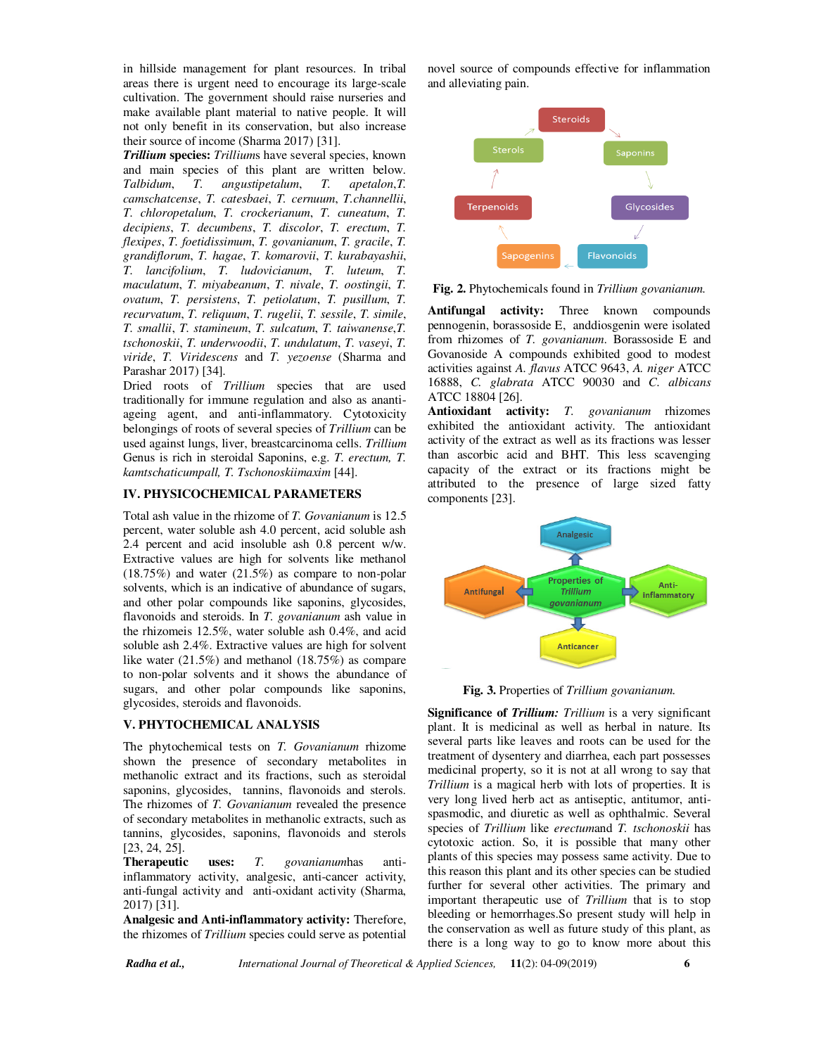in hillside management for plant resources. In tribal areas there is urgent need to encourage its large-scale cultivation. The government should raise nurseries and make available plant material to native people. It will not only benefit in its conservation, but also increase their source of income (Sharma 2017) [31].

*Trillium* **species:** *Trillium*s have several species, known and main species of this plant are written below.<br>Talbidum, T. angustipetalum, T. apetalon, T. *T. angustipetalum, camschatcense*, *T. catesbaei*, *T. cernuum*, *T.channellii*, *T. chloropetalum*, *T. crockerianum*, *T. cuneatum*, *T. decipiens*, *T. decumbens*, *T. discolor*, *T. erectum*, *T. flexipes*, *T. foetidissimum*, *T. govanianum*, *T. gracile*, *T. grandiflorum*, *T. hagae*, *T. komarovii*, *T. kurabayashii*, *T. lancifolium*, *T. ludovicianum*, *T. luteum*, *T. maculatum*, *T. miyabeanum*, *T. nivale*, *T. oostingii*, *T. ovatum*, *T. persistens*, *T. petiolatum*, *T. pusillum*, *T. recurvatum*, *T. reliquum*, *T. rugelii*, *T. sessile*, *T. simile*, *T. smallii*, *T. stamineum*, *T. sulcatum*, *T. taiwanense*,*T. tschonoskii*, *T. underwoodii*, *T. undulatum*, *T. vaseyi*, *T. viride*, *T. Viridescens* and *T. yezoense* (Sharma and Parashar 2017) [34].

Dried roots of *Trillium* species that are used traditionally for immune regulation and also as anantiageing agent, and anti-inflammatory. Cytotoxicity belongings of roots of several species of *Trillium* can be used against lungs, liver, breastcarcinoma cells. *Trillium* Genus is rich in steroidal Saponins, e.g. *T. erectum, T. kamtschaticumpall, T. Tschonoskiimaxim* [44].

#### **IV. PHYSICOCHEMICAL PARAMETERS**

Total ash value in the rhizome of *T. Govanianum* is 12.5 percent, water soluble ash 4.0 percent, acid soluble ash 2.4 percent and acid insoluble ash 0.8 percent w/w. Extractive values are high for solvents like methanol (18.75%) and water (21.5%) as compare to non-polar solvents, which is an indicative of abundance of sugars, and other polar compounds like saponins, glycosides, flavonoids and steroids. In *T. govanianum* ash value in the rhizomeis 12.5%, water soluble ash 0.4%, and acid soluble ash 2.4%. Extractive values are high for solvent like water (21.5%) and methanol (18.75%) as compare to non-polar solvents and it shows the abundance of sugars, and other polar compounds like saponins, glycosides, steroids and flavonoids.

#### **V. PHYTOCHEMICAL ANALYSIS**

The phytochemical tests on *T. Govanianum* rhizome shown the presence of secondary metabolites in methanolic extract and its fractions, such as steroidal saponins, glycosides, tannins, flavonoids and sterols. The rhizomes of *T. Govanianum* revealed the presence of secondary metabolites in methanolic extracts, such as tannins, glycosides, saponins, flavonoids and sterols [23, 24, 25].

**Therapeutic uses:** *T. govanianum*has antiinflammatory activity, analgesic, anti-cancer activity, anti-fungal activity and anti-oxidant activity (Sharma, 2017) [31].

**Analgesic and Anti-inflammatory activity:** Therefore, the rhizomes of *Trillium* species could serve as potential novel source of compounds effective for inflammation and alleviating pain.



**Fig. 2.** Phytochemicals found in *Trillium govanianum.*

**Antifungal activity:** Three known compounds pennogenin, borassoside E, anddiosgenin were isolated from rhizomes of *T. govanianum*. Borassoside E and Govanoside A compounds exhibited good to modest activities against *A. flavus* ATCC 9643, *A. niger* ATCC 16888, *C. glabrata* ATCC 90030 and *C. albicans* ATCC 18804 [26].

**Antioxidant activity:** *T. govanianum* rhizomes exhibited the antioxidant activity. The antioxidant activity of the extract as well as its fractions was lesser than ascorbic acid and BHT. This less scavenging capacity of the extract or its fractions might be attributed to the presence of large sized fatty components [23].





**Significance of** *Trillium: Trillium* is a very significant plant. It is medicinal as well as herbal in nature. Its several parts like leaves and roots can be used for the treatment of dysentery and diarrhea, each part possesses medicinal property, so it is not at all wrong to say that *Trillium* is a magical herb with lots of properties. It is very long lived herb act as antiseptic, antitumor, antispasmodic, and diuretic as well as ophthalmic. Several species of *Trillium* like *erectum*and *T. tschonoskii* has cytotoxic action. So, it is possible that many other plants of this species may possess same activity. Due to this reason this plant and its other species can be studied further for several other activities. The primary and important therapeutic use of *Trillium* that is to stop bleeding or hemorrhages.So present study will help in the conservation as well as future study of this plant, as there is a long way to go to know more about this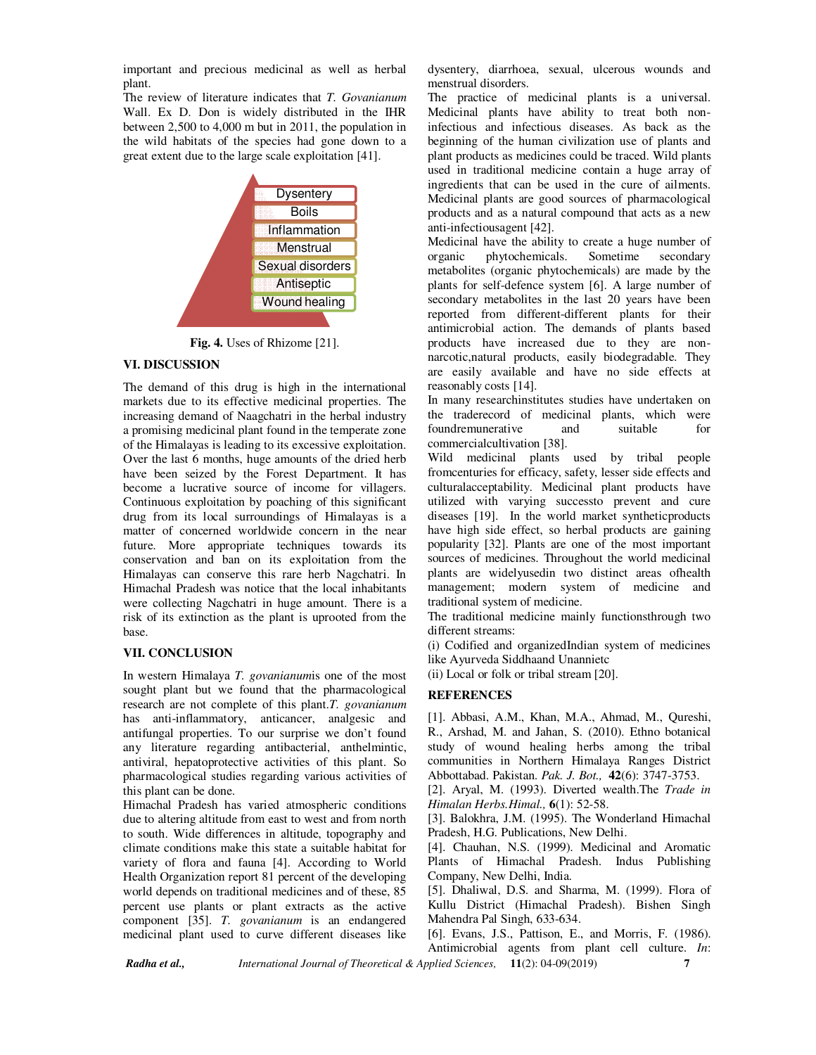important and precious medicinal as well as herbal plant.

The review of literature indicates that *T. Govanianum*  Wall. Ex D. Don is widely distributed in the IHR between 2,500 to 4,000 m but in 2011, the population in the wild habitats of the species had gone down to a great extent due to the large scale exploitation [41].



**Fig. 4.** Uses of Rhizome [21].

#### **VI. DISCUSSION**

The demand of this drug is high in the international markets due to its effective medicinal properties. The increasing demand of Naagchatri in the herbal industry a promising medicinal plant found in the temperate zone of the Himalayas is leading to its excessive exploitation. Over the last 6 months, huge amounts of the dried herb have been seized by the Forest Department. It has become a lucrative source of income for villagers. Continuous exploitation by poaching of this significant drug from its local surroundings of Himalayas is a matter of concerned worldwide concern in the near future. More appropriate techniques towards its conservation and ban on its exploitation from the Himalayas can conserve this rare herb Nagchatri. In Himachal Pradesh was notice that the local inhabitants were collecting Nagchatri in huge amount. There is a risk of its extinction as the plant is uprooted from the base.

#### **VII. CONCLUSION**

In western Himalaya *T. govanianum*is one of the most sought plant but we found that the pharmacological research are not complete of this plant.*T. govanianum*  has anti-inflammatory, anticancer, analgesic and antifungal properties. To our surprise we don't found any literature regarding antibacterial, anthelmintic, antiviral, hepatoprotective activities of this plant. So pharmacological studies regarding various activities of this plant can be done.

Himachal Pradesh has varied atmospheric conditions due to altering altitude from east to west and from north to south. Wide differences in altitude, topography and climate conditions make this state a suitable habitat for variety of flora and fauna [4]. According to World Health Organization report 81 percent of the developing world depends on traditional medicines and of these, 85 percent use plants or plant extracts as the active component [35]. *T. govanianum* is an endangered medicinal plant used to curve different diseases like dysentery, diarrhoea, sexual, ulcerous wounds and menstrual disorders.

The practice of medicinal plants is a universal. Medicinal plants have ability to treat both noninfectious and infectious diseases. As back as the beginning of the human civilization use of plants and plant products as medicines could be traced. Wild plants used in traditional medicine contain a huge array of ingredients that can be used in the cure of ailments. Medicinal plants are good sources of pharmacological products and as a natural compound that acts as a new anti-infectiousagent [42].

Medicinal have the ability to create a huge number of organic phytochemicals. Sometime secondary metabolites (organic phytochemicals) are made by the plants for self-defence system [6]. A large number of secondary metabolites in the last 20 years have been reported from different-different plants for their antimicrobial action. The demands of plants based products have increased due to they are nonnarcotic,natural products, easily biodegradable. They are easily available and have no side effects at reasonably costs [14].

In many researchinstitutes studies have undertaken on the traderecord of medicinal plants, which were foundremunerative and suitable for commercialcultivation [38].

Wild medicinal plants used by tribal people fromcenturies for efficacy, safety, lesser side effects and culturalacceptability. Medicinal plant products have utilized with varying successto prevent and cure diseases [19]. In the world market syntheticproducts have high side effect, so herbal products are gaining popularity [32]. Plants are one of the most important sources of medicines. Throughout the world medicinal plants are widelyusedin two distinct areas ofhealth management; modern system of medicine and traditional system of medicine.

The traditional medicine mainly functionsthrough two different streams:

(i) Codified and organizedIndian system of medicines like Ayurveda Siddhaand Unannietc

(ii) Local or folk or tribal stream [20].

# **REFERENCES**

[1]. Abbasi, A.M., Khan, M.A., Ahmad, M., Qureshi, R., Arshad, M. and Jahan, S. (2010). Ethno botanical study of wound healing herbs among the tribal communities in Northern Himalaya Ranges District Abbottabad. Pakistan. *Pak. J. Bot.,* **42**(6): 3747-3753.

[2]. Aryal, M. (1993). Diverted wealth.The *Trade in Himalan Herbs.Himal.,* **6**(1): 52-58.

[3]. Balokhra, J.M. (1995). The Wonderland Himachal Pradesh, H.G. Publications, New Delhi.

[4]. Chauhan, N.S. (1999). Medicinal and Aromatic Plants of Himachal Pradesh. Indus Publishing Company, New Delhi, India.

[5]. Dhaliwal, D.S. and Sharma, M. (1999). Flora of Kullu District (Himachal Pradesh). Bishen Singh Mahendra Pal Singh, 633-634.

[6]. Evans, J.S., Pattison, E., and Morris, F. (1986). Antimicrobial agents from plant cell culture. *In*:

*Radha et al., International Journal of Theoretical & Applied Sciences,* **11**(2): 04-09(2019) **7**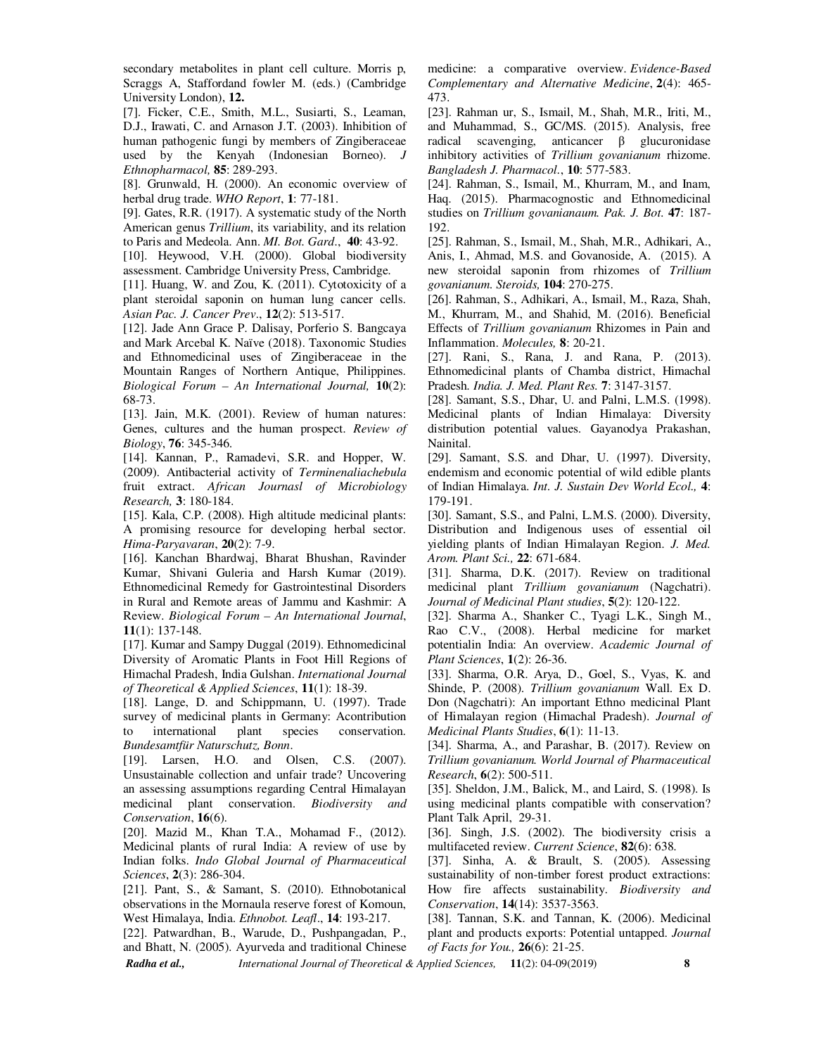secondary metabolites in plant cell culture. Morris p, Scraggs A, Staffordand fowler M. (eds.) (Cambridge University London), **12.**

[7]. Ficker, C.E., Smith, M.L., Susiarti, S., Leaman, D.J., Irawati, C. and Arnason J.T. (2003). Inhibition of human pathogenic fungi by members of Zingiberaceae used by the Kenyah (Indonesian Borneo). *J Ethnopharmacol,* **85**: 289-293.

[8]. Grunwald, H. (2000). An economic overview of herbal drug trade. *WHO Report*, **1**: 77-181.

[9]. Gates, R.R. (1917). A systematic study of the North American genus *Trillium*, its variability, and its relation to Paris and Medeola. Ann. *MI. Bot. Gard*., **40**: 43-92.

[10]. Heywood, V.H. (2000). Global biodiversity assessment. Cambridge University Press, Cambridge.

[11]. Huang, W. and Zou, K. (2011). Cytotoxicity of a plant steroidal saponin on human lung cancer cells. *Asian Pac. J. Cancer Prev*., **12**(2): 513-517.

[12]. Jade Ann Grace P. Dalisay, Porferio S. Bangcaya and Mark Arcebal K. Naïve (2018). Taxonomic Studies and Ethnomedicinal uses of Zingiberaceae in the Mountain Ranges of Northern Antique, Philippines. *Biological Forum – An International Journal,* **10**(2): 68-73.

[13]. Jain, M.K. (2001). Review of human natures: Genes, cultures and the human prospect. *Review of Biology*, **76**: 345-346.

[14]. Kannan, P., Ramadevi, S.R. and Hopper, W. (2009). Antibacterial activity of *Terminenaliachebula*  fruit extract. *African Journasl of Microbiology Research,* **3**: 180-184.

[15]. Kala, C.P. (2008). High altitude medicinal plants: A promising resource for developing herbal sector. *Hima-Paryavaran*, **20**(2): 7-9.

[16]. Kanchan Bhardwaj, Bharat Bhushan, Ravinder Kumar, Shivani Guleria and Harsh Kumar (2019). Ethnomedicinal Remedy for Gastrointestinal Disorders in Rural and Remote areas of Jammu and Kashmir: A Review. *Biological Forum – An International Journal*, **11**(1): 137-148.

[17]. Kumar and Sampy Duggal (2019). Ethnomedicinal Diversity of Aromatic Plants in Foot Hill Regions of Himachal Pradesh, India Gulshan. *International Journal of Theoretical & Applied Sciences*, **11**(1): 18-39.

[18]. Lange, D. and Schippmann, U. (1997). Trade survey of medicinal plants in Germany: Acontribution to international plant species conservation. *Bundesamtfür Naturschutz, Bonn*.

[19]. Larsen, H.O. and Olsen, C.S. (2007). Unsustainable collection and unfair trade? Uncovering an assessing assumptions regarding Central Himalayan medicinal plant conservation. *Biodiversity and Conservation*, **16**(6).

[20]. Mazid M., Khan T.A., Mohamad F., (2012). Medicinal plants of rural India: A review of use by Indian folks. *Indo Global Journal of Pharmaceutical Sciences*, **2**(3): 286-304.

[21]. Pant, S., & Samant, S. (2010). Ethnobotanical observations in the Mornaula reserve forest of Komoun, West Himalaya, India. *Ethnobot. Leafl*., **14**: 193-217.

[22]. Patwardhan, B., Warude, D., Pushpangadan, P., and Bhatt, N. (2005). Ayurveda and traditional Chinese medicine: a comparative overview. *Evidence-Based Complementary and Alternative Medicine*, **2**(4): 465- 473.

[23]. Rahman ur, S., Ismail, M., Shah, M.R., Iriti, M., and Muhammad, S., GC/MS. (2015). Analysis, free radical scavenging, anticancer β glucuronidase inhibitory activities of *Trillium govanianum* rhizome. *Bangladesh J. Pharmacol.*, **10**: 577-583.

[24]. Rahman, S., Ismail, M., Khurram, M., and Inam, Haq. (2015). Pharmacognostic and Ethnomedicinal studies on *Trillium govanianaum. Pak. J. Bot*. **47**: 187- 192.

[25]. Rahman, S., Ismail, M., Shah, M.R., Adhikari, A., Anis, I., Ahmad, M.S. and Govanoside, A. (2015). A new steroidal saponin from rhizomes of *Trillium govanianum*. *Steroids,* **104**: 270-275.

[26]. Rahman, S., Adhikari, A., Ismail, M., Raza, Shah, M., Khurram, M., and Shahid, M. (2016). Beneficial Effects of *Trillium govanianum* Rhizomes in Pain and Inflammation. *Molecules,* **8**: 20-21.

[27]. Rani, S., Rana, J. and Rana, P. (2013). Ethnomedicinal plants of Chamba district, Himachal Pradesh*. India. J. Med. Plant Res.* **7**: 3147-3157.

[28]. Samant, S.S., Dhar, U. and Palni, L.M.S. (1998). Medicinal plants of Indian Himalaya: Diversity distribution potential values. Gayanodya Prakashan, Nainital.

[29]. Samant, S.S. and Dhar, U. (1997). Diversity, endemism and economic potential of wild edible plants of Indian Himalaya. *Int. J. Sustain Dev World Ecol.,* **4**: 179-191.

[30]. Samant, S.S., and Palni, L.M.S. (2000). Diversity, Distribution and Indigenous uses of essential oil yielding plants of Indian Himalayan Region. *J. Med. Arom. Plant Sci.,* **22**: 671-684.

[31]. Sharma, D.K. (2017). Review on traditional medicinal plant *Trillium govanianum* (Nagchatri). *Journal of Medicinal Plant studies*, **5**(2): 120-122.

[32]. Sharma A., Shanker C., Tyagi L.K., Singh M., Rao C.V., (2008). Herbal medicine for market potentialin India: An overview. *Academic Journal of Plant Sciences*, **1**(2): 26-36.

[33]. Sharma, O.R. Arya, D., Goel, S., Vyas, K. and Shinde, P. (2008). *Trillium govanianum* Wall. Ex D. Don (Nagchatri): An important Ethno medicinal Plant of Himalayan region (Himachal Pradesh). *Journal of Medicinal Plants Studies*, **6**(1): 11-13.

[34]. Sharma, A., and Parashar, B. (2017). Review on *Trillium govanianum. World Journal of Pharmaceutical Research*, **6**(2): 500-511.

[35]. Sheldon, J.M., Balick, M., and Laird, S. (1998). Is using medicinal plants compatible with conservation? Plant Talk April, 29-31.

[36]. Singh, J.S. (2002). The biodiversity crisis a multifaceted review. *Current Science*, **82**(6): 638.

[37]. Sinha, A. & Brault, S. (2005). Assessing sustainability of non-timber forest product extractions: How fire affects sustainability. *Biodiversity and Conservation*, **14**(14): 3537-3563.

[38]. Tannan, S.K. and Tannan, K. (2006). Medicinal plant and products exports: Potential untapped. *Journal of Facts for You.,* **26**(6): 21-25.

*Radha et al., International Journal of Theoretical & Applied Sciences,* **11**(2): 04-09(2019) **8**